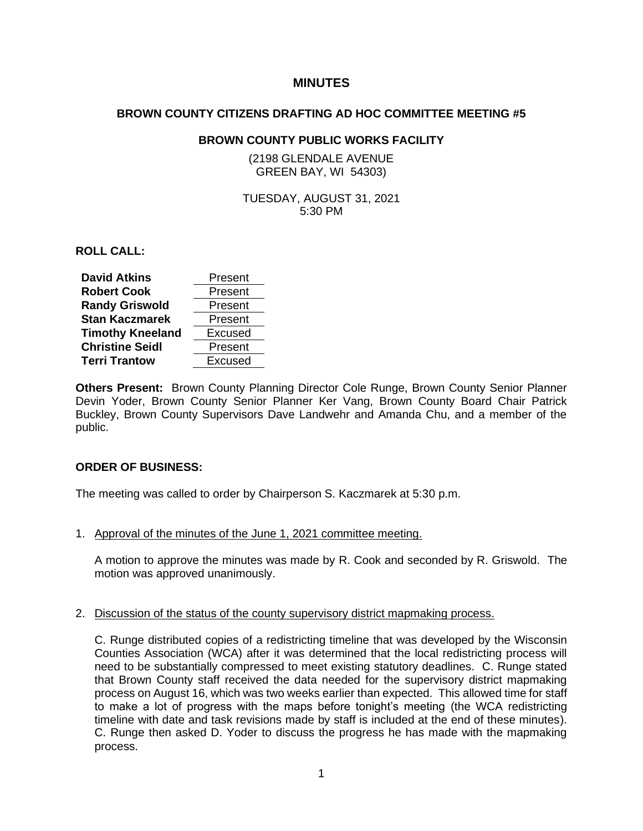# **MINUTES**

### **BROWN COUNTY CITIZENS DRAFTING AD HOC COMMITTEE MEETING #5**

# **BROWN COUNTY PUBLIC WORKS FACILITY**

(2198 GLENDALE AVENUE GREEN BAY, WI 54303)

# TUESDAY, AUGUST 31, 2021 5:30 PM

**ROLL CALL:**

| <b>David Atkins</b>     | Present |
|-------------------------|---------|
| <b>Robert Cook</b>      | Present |
| <b>Randy Griswold</b>   | Present |
| <b>Stan Kaczmarek</b>   | Present |
| <b>Timothy Kneeland</b> | Excused |
| <b>Christine Seidl</b>  | Present |
| <b>Terri Trantow</b>    | Excused |

**Others Present:** Brown County Planning Director Cole Runge, Brown County Senior Planner Devin Yoder, Brown County Senior Planner Ker Vang, Brown County Board Chair Patrick Buckley, Brown County Supervisors Dave Landwehr and Amanda Chu, and a member of the public.

# **ORDER OF BUSINESS:**

The meeting was called to order by Chairperson S. Kaczmarek at 5:30 p.m.

1. Approval of the minutes of the June 1, 2021 committee meeting.

A motion to approve the minutes was made by R. Cook and seconded by R. Griswold. The motion was approved unanimously.

#### 2. Discussion of the status of the county supervisory district mapmaking process.

C. Runge distributed copies of a redistricting timeline that was developed by the Wisconsin Counties Association (WCA) after it was determined that the local redistricting process will need to be substantially compressed to meet existing statutory deadlines. C. Runge stated that Brown County staff received the data needed for the supervisory district mapmaking process on August 16, which was two weeks earlier than expected. This allowed time for staff to make a lot of progress with the maps before tonight's meeting (the WCA redistricting timeline with date and task revisions made by staff is included at the end of these minutes). C. Runge then asked D. Yoder to discuss the progress he has made with the mapmaking process.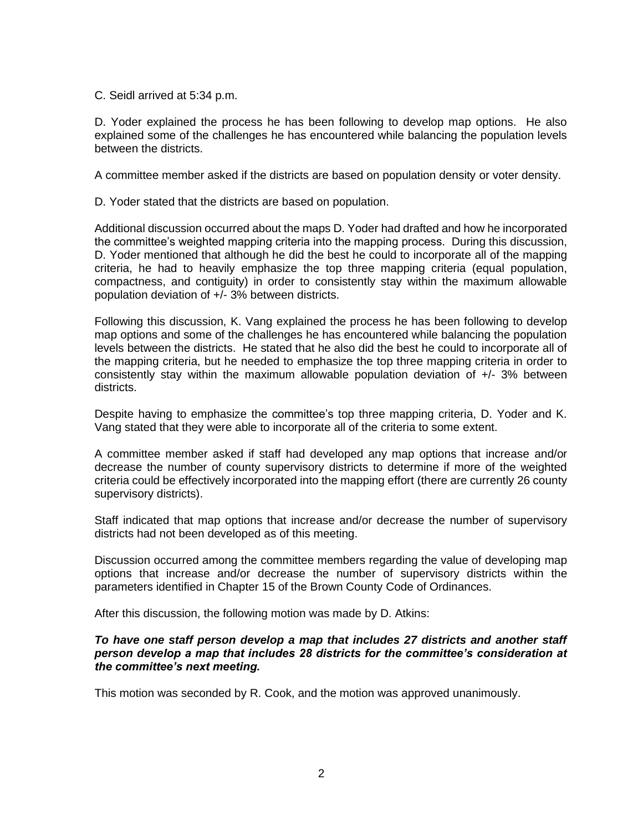C. Seidl arrived at 5:34 p.m.

D. Yoder explained the process he has been following to develop map options. He also explained some of the challenges he has encountered while balancing the population levels between the districts.

A committee member asked if the districts are based on population density or voter density.

D. Yoder stated that the districts are based on population.

Additional discussion occurred about the maps D. Yoder had drafted and how he incorporated the committee's weighted mapping criteria into the mapping process. During this discussion, D. Yoder mentioned that although he did the best he could to incorporate all of the mapping criteria, he had to heavily emphasize the top three mapping criteria (equal population, compactness, and contiguity) in order to consistently stay within the maximum allowable population deviation of  $+/-$  3% between districts.

Following this discussion, K. Vang explained the process he has been following to develop map options and some of the challenges he has encountered while balancing the population levels between the districts. He stated that he also did the best he could to incorporate all of the mapping criteria, but he needed to emphasize the top three mapping criteria in order to consistently stay within the maximum allowable population deviation of +/- 3% between districts.

Despite having to emphasize the committee's top three mapping criteria, D. Yoder and K. Vang stated that they were able to incorporate all of the criteria to some extent.

A committee member asked if staff had developed any map options that increase and/or decrease the number of county supervisory districts to determine if more of the weighted criteria could be effectively incorporated into the mapping effort (there are currently 26 county supervisory districts).

Staff indicated that map options that increase and/or decrease the number of supervisory districts had not been developed as of this meeting.

Discussion occurred among the committee members regarding the value of developing map options that increase and/or decrease the number of supervisory districts within the parameters identified in Chapter 15 of the Brown County Code of Ordinances.

After this discussion, the following motion was made by D. Atkins:

## *To have one staff person develop a map that includes 27 districts and another staff person develop a map that includes 28 districts for the committee's consideration at the committee's next meeting.*

This motion was seconded by R. Cook, and the motion was approved unanimously.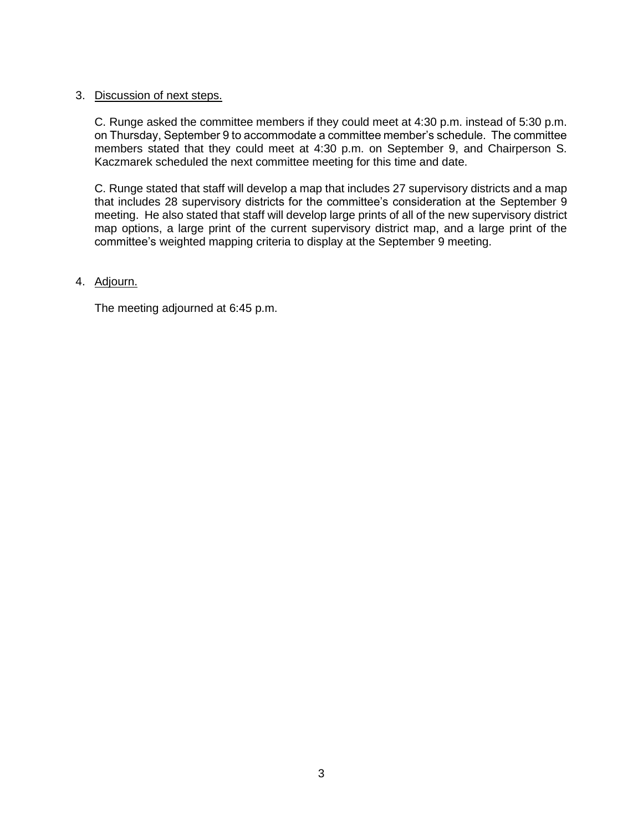# 3. Discussion of next steps.

C. Runge asked the committee members if they could meet at 4:30 p.m. instead of 5:30 p.m. on Thursday, September 9 to accommodate a committee member's schedule. The committee members stated that they could meet at 4:30 p.m. on September 9, and Chairperson S. Kaczmarek scheduled the next committee meeting for this time and date.

C. Runge stated that staff will develop a map that includes 27 supervisory districts and a map that includes 28 supervisory districts for the committee's consideration at the September 9 meeting. He also stated that staff will develop large prints of all of the new supervisory district map options, a large print of the current supervisory district map, and a large print of the committee's weighted mapping criteria to display at the September 9 meeting.

# 4. Adjourn.

The meeting adjourned at 6:45 p.m.